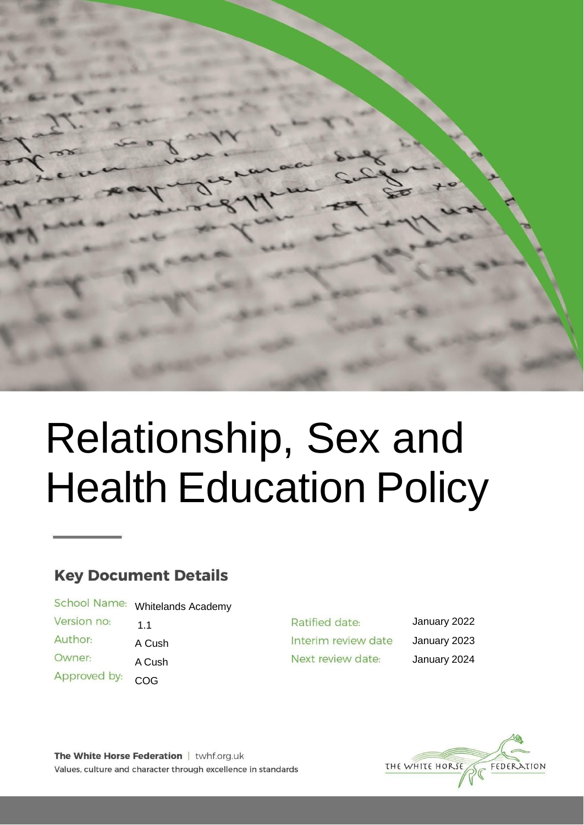

# Relationship, Sex and Health Education Policy

# **Key Document Details**

School Name: Whitelands Academy Version no: 1.1

Author: Owner: Approved by:

A Cush A Cush COG

Ratified date: Interim review date Next review date:

January 2022 January 2023 January 2024



The White Horse Federation | twhf.org.uk Values, culture and character through excellence in standards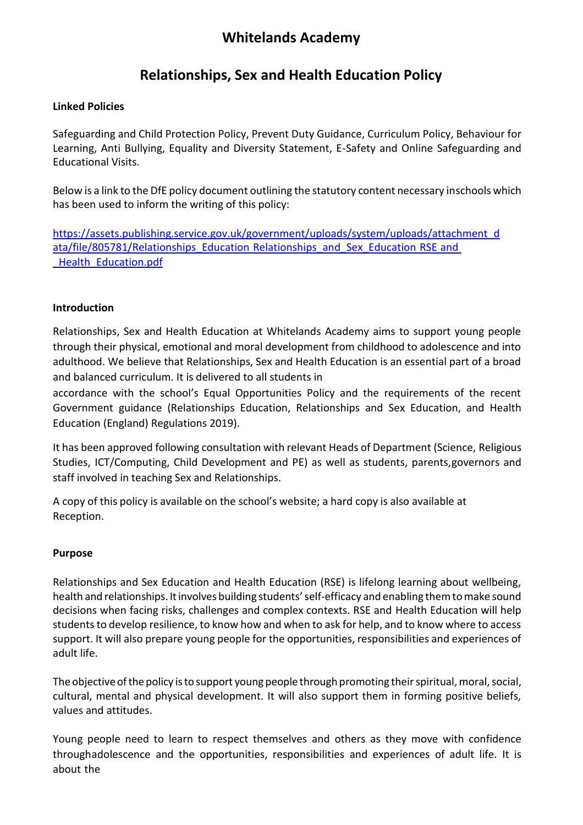# **Relationships, Sex and Health Education Policy**

#### **Linked Policies**

Safeguarding and Child Protection Policy, Prevent Duty Guidance, Curriculum Policy, Behaviour for Learning, Anti Bullying, Equality and Diversity Statement, E-Safety and Online Safeguarding and Educational Visits.

Below is a link to the DfE policy document outlining the statutory content necessary inschools which has been used to inform the writing of this policy:

[https://assets.publishing.service.gov.uk/government/uploads/system/uploads/attachment\\_d](https://assets.publishing.service.gov.uk/government/uploads/system/uploads/attachment_data/file/805781/Relationships_Education__Relationships_and_Sex_Education__RSE__and_Health_Education.pdf) [ata/file/805781/Relationships\\_Education](https://assets.publishing.service.gov.uk/government/uploads/system/uploads/attachment_data/file/805781/Relationships_Education__Relationships_and_Sex_Education__RSE__and_Health_Education.pdf) Relationships\_and\_Sex\_Education RSE and [\\_Health\\_Education.pdf](https://assets.publishing.service.gov.uk/government/uploads/system/uploads/attachment_data/file/805781/Relationships_Education__Relationships_and_Sex_Education__RSE__and_Health_Education.pdf)

#### **Introduction**

Relationships, Sex and Health Education at Whitelands Academy aims to support young people through their physical, emotional and moral development from childhood to adolescence and into adulthood. We believe that Relationships, Sex and Health Education is an essential part of a broad and balanced curriculum. It is delivered to all students in

accordance with the school's Equal Opportunities Policy and the requirements of the recent Government guidance (Relationships Education, Relationships and Sex Education, and Health Education (England) Regulations 2019).

It has been approved following consultation with relevant Heads of Department (Science, Religious Studies, ICT/Computing, Child Development and PE) as well as students, parents,governors and staff involved in teaching Sex and Relationships.

A copy of this policy is available on the school's website; a hard copy is also available at Reception.

#### **Purpose**

Relationships and Sex Education and Health Education (RSE) is lifelong learning about wellbeing, health and relationships. It involves building students' self-efficacy and enabling them to make sound decisions when facing risks, challenges and complex contexts. RSE and Health Education will help students to develop resilience, to know how and when to ask for help, and to know where to access support. It will also prepare young people for the opportunities, responsibilities and experiences of adult life.

The objective of the policy is to support young people through promoting their spiritual, moral, social, cultural, mental and physical development. It will also support them in forming positive beliefs, values and attitudes.

Young people need to learn to respect themselves and others as they move with confidence throughadolescence and the opportunities, responsibilities and experiences of adult life. It is about the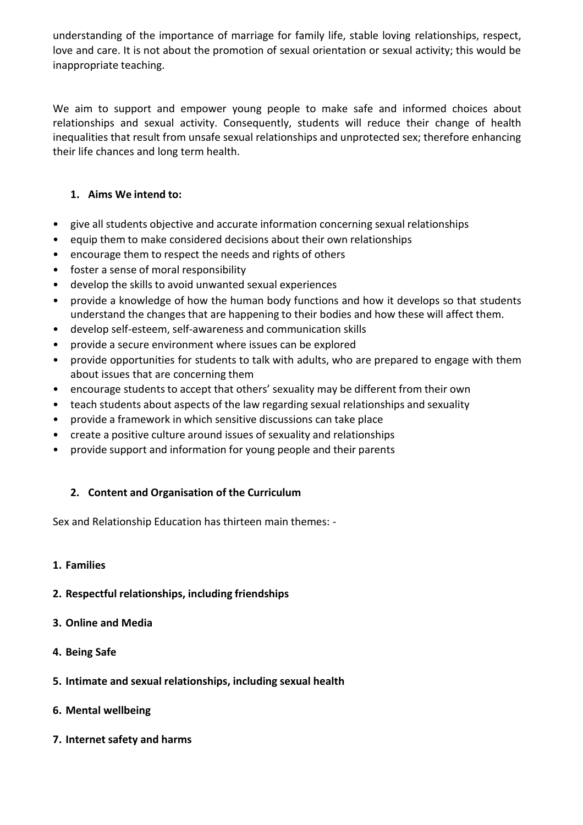understanding of the importance of marriage for family life, stable loving relationships, respect, love and care. It is not about the promotion of sexual orientation or sexual activity; this would be inappropriate teaching.

We aim to support and empower young people to make safe and informed choices about relationships and sexual activity. Consequently, students will reduce their change of health inequalities that result from unsafe sexual relationships and unprotected sex; therefore enhancing their life chances and long term health.

### **1. Aims We intend to:**

- give all students objective and accurate information concerning sexual relationships
- equip them to make considered decisions about their own relationships
- encourage them to respect the needs and rights of others
- foster a sense of moral responsibility
- develop the skills to avoid unwanted sexual experiences
- provide a knowledge of how the human body functions and how it develops so that students understand the changes that are happening to their bodies and how these will affect them.
- develop self-esteem, self-awareness and communication skills
- provide a secure environment where issues can be explored
- provide opportunities for students to talk with adults, who are prepared to engage with them about issues that are concerning them
- encourage students to accept that others' sexuality may be different from their own
- teach students about aspects of the law regarding sexual relationships and sexuality
- provide a framework in which sensitive discussions can take place
- create a positive culture around issues of sexuality and relationships
- provide support and information for young people and their parents

## **2. Content and Organisation of the Curriculum**

Sex and Relationship Education has thirteen main themes: -

#### **1. Families**

- **2. Respectful relationships, including friendships**
- **3. Online and Media**
- **4. Being Safe**
- **5. Intimate and sexual relationships, including sexual health**
- **6. Mental wellbeing**
- **7. Internet safety and harms**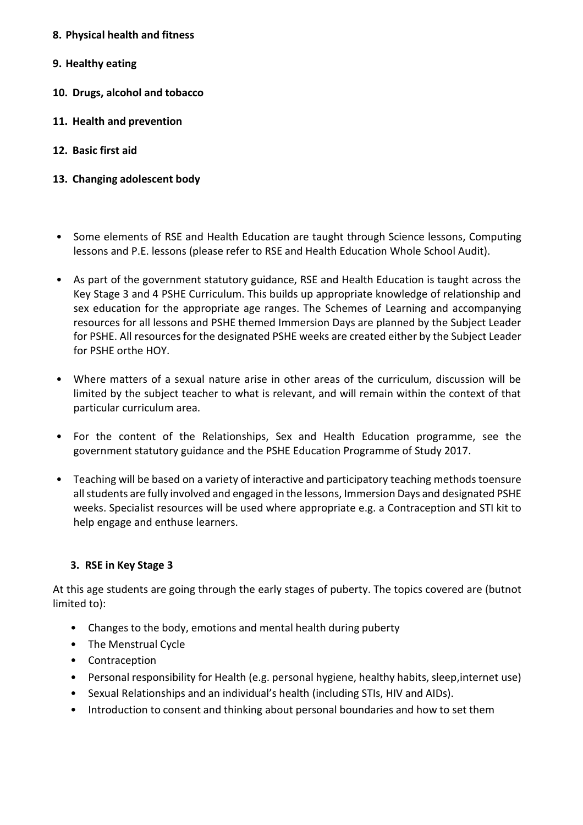- **8. Physical health and fitness**
- **9. Healthy eating**
- **10. Drugs, alcohol and tobacco**
- **11. Health and prevention**
- **12. Basic first aid**
- **13. Changing adolescent body**
- Some elements of RSE and Health Education are taught through Science lessons, Computing lessons and P.E. lessons (please refer to RSE and Health Education Whole School Audit).
- As part of the government statutory guidance, RSE and Health Education is taught across the Key Stage 3 and 4 PSHE Curriculum. This builds up appropriate knowledge of relationship and sex education for the appropriate age ranges. The Schemes of Learning and accompanying resources for all lessons and PSHE themed Immersion Days are planned by the Subject Leader for PSHE. All resources for the designated PSHE weeks are created either by the Subject Leader for PSHE orthe HOY.
- Where matters of a sexual nature arise in other areas of the curriculum, discussion will be limited by the subject teacher to what is relevant, and will remain within the context of that particular curriculum area.
- For the content of the Relationships, Sex and Health Education programme, see the government statutory guidance and the PSHE Education Programme of Study 2017.
- Teaching will be based on a variety of interactive and participatory teaching methods toensure all students are fully involved and engaged in the lessons, Immersion Days and designated PSHE weeks. Specialist resources will be used where appropriate e.g. a Contraception and STI kit to help engage and enthuse learners.

#### **3. RSE in Key Stage 3**

At this age students are going through the early stages of puberty. The topics covered are (butnot limited to):

- Changes to the body, emotions and mental health during puberty
- The Menstrual Cycle
- Contraception
- Personal responsibility for Health (e.g. personal hygiene, healthy habits, sleep,internet use)
- Sexual Relationships and an individual's health (including STIs, HIV and AIDs).
- Introduction to consent and thinking about personal boundaries and how to set them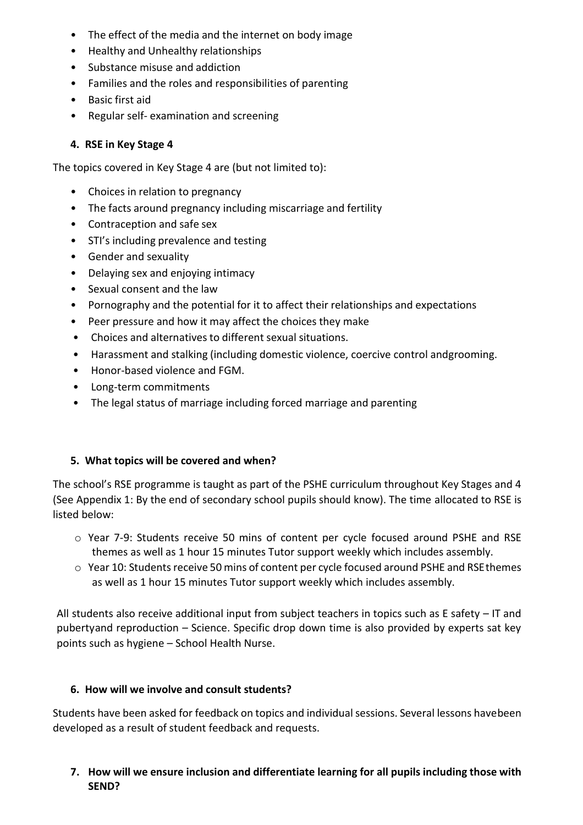- The effect of the media and the internet on body image
- Healthy and Unhealthy relationships
- Substance misuse and addiction
- Families and the roles and responsibilities of parenting
- Basic first aid
- Regular self- examination and screening

#### **4. RSE in Key Stage 4**

The topics covered in Key Stage 4 are (but not limited to):

- Choices in relation to pregnancy
- The facts around pregnancy including miscarriage and fertility
- Contraception and safe sex
- STI's including prevalence and testing
- Gender and sexuality
- Delaying sex and enjoying intimacy
- Sexual consent and the law
- Pornography and the potential for it to affect their relationships and expectations
- Peer pressure and how it may affect the choices they make
- Choices and alternatives to different sexual situations.
- Harassment and stalking (including domestic violence, coercive control andgrooming.
- Honor-based violence and FGM.
- Long-term commitments
- The legal status of marriage including forced marriage and parenting

#### **5. What topics will be covered and when?**

The school's RSE programme is taught as part of the PSHE curriculum throughout Key Stages and 4 (See Appendix 1: By the end of secondary school pupils should know). The time allocated to RSE is listed below:

- o Year 7-9: Students receive 50 mins of content per cycle focused around PSHE and RSE themes as well as 1 hour 15 minutes Tutor support weekly which includes assembly.
- $\circ$  Year 10: Students receive 50 mins of content per cycle focused around PSHE and RSE themes as well as 1 hour 15 minutes Tutor support weekly which includes assembly.

All students also receive additional input from subject teachers in topics such as E safety – IT and pubertyand reproduction – Science. Specific drop down time is also provided by experts sat key points such as hygiene – School Health Nurse.

#### **6. How will we involve and consult students?**

Students have been asked for feedback on topics and individual sessions. Several lessons havebeen developed as a result of student feedback and requests.

## **7. How will we ensure inclusion and differentiate learning for all pupils including those with SEND?**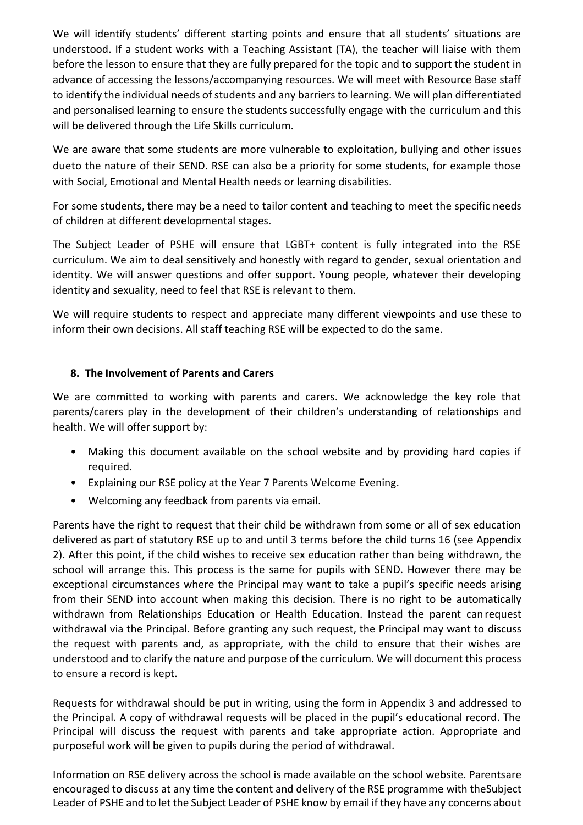We will identify students' different starting points and ensure that all students' situations are understood. If a student works with a Teaching Assistant (TA), the teacher will liaise with them before the lesson to ensure that they are fully prepared for the topic and to support the student in advance of accessing the lessons/accompanying resources. We will meet with Resource Base staff to identify the individual needs of students and any barriers to learning. We will plan differentiated and personalised learning to ensure the students successfully engage with the curriculum and this will be delivered through the Life Skills curriculum.

We are aware that some students are more vulnerable to exploitation, bullying and other issues dueto the nature of their SEND. RSE can also be a priority for some students, for example those with Social, Emotional and Mental Health needs or learning disabilities.

For some students, there may be a need to tailor content and teaching to meet the specific needs of children at different developmental stages.

The Subject Leader of PSHE will ensure that LGBT+ content is fully integrated into the RSE curriculum. We aim to deal sensitively and honestly with regard to gender, sexual orientation and identity. We will answer questions and offer support. Young people, whatever their developing identity and sexuality, need to feel that RSE is relevant to them.

We will require students to respect and appreciate many different viewpoints and use these to inform their own decisions. All staff teaching RSE will be expected to do the same.

#### **8. The Involvement of Parents and Carers**

We are committed to working with parents and carers. We acknowledge the key role that parents/carers play in the development of their children's understanding of relationships and health. We will offer support by:

- Making this document available on the school website and by providing hard copies if required.
- Explaining our RSE policy at the Year 7 Parents Welcome Evening.
- Welcoming any feedback from parents via email.

Parents have the right to request that their child be withdrawn from some or all of sex education delivered as part of statutory RSE up to and until 3 terms before the child turns 16 (see Appendix 2). After this point, if the child wishes to receive sex education rather than being withdrawn, the school will arrange this. This process is the same for pupils with SEND. However there may be exceptional circumstances where the Principal may want to take a pupil's specific needs arising from their SEND into account when making this decision. There is no right to be automatically withdrawn from Relationships Education or Health Education. Instead the parent can request withdrawal via the Principal. Before granting any such request, the Principal may want to discuss the request with parents and, as appropriate, with the child to ensure that their wishes are understood and to clarify the nature and purpose of the curriculum. We will document this process to ensure a record is kept.

Requests for withdrawal should be put in writing, using the form in Appendix 3 and addressed to the Principal. A copy of withdrawal requests will be placed in the pupil's educational record. The Principal will discuss the request with parents and take appropriate action. Appropriate and purposeful work will be given to pupils during the period of withdrawal.

Information on RSE delivery across the school is made available on the school website. Parentsare encouraged to discuss at any time the content and delivery of the RSE programme with theSubject Leader of PSHE and to let the Subject Leader of PSHE know by email if they have any concerns about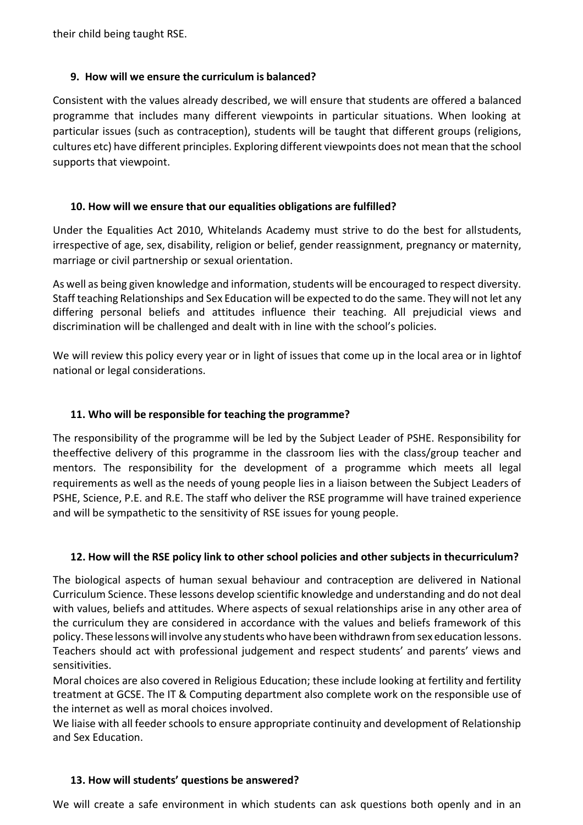their child being taught RSE.

#### **9. How will we ensure the curriculum is balanced?**

Consistent with the values already described, we will ensure that students are offered a balanced programme that includes many different viewpoints in particular situations. When looking at particular issues (such as contraception), students will be taught that different groups (religions, cultures etc) have different principles. Exploring different viewpoints does not mean that the school supports that viewpoint.

#### **10. How will we ensure that our equalities obligations are fulfilled?**

Under the Equalities Act 2010, Whitelands Academy must strive to do the best for allstudents, irrespective of age, sex, disability, religion or belief, gender reassignment, pregnancy or maternity, marriage or civil partnership or sexual orientation.

As well as being given knowledge and information, students will be encouraged to respect diversity. Staff teaching Relationships and Sex Education will be expected to do the same. They will not let any differing personal beliefs and attitudes influence their teaching. All prejudicial views and discrimination will be challenged and dealt with in line with the school's policies.

We will review this policy every year or in light of issues that come up in the local area or in lightof national or legal considerations.

#### **11. Who will be responsible for teaching the programme?**

The responsibility of the programme will be led by the Subject Leader of PSHE. Responsibility for theeffective delivery of this programme in the classroom lies with the class/group teacher and mentors. The responsibility for the development of a programme which meets all legal requirements as well as the needs of young people lies in a liaison between the Subject Leaders of PSHE, Science, P.E. and R.E. The staff who deliver the RSE programme will have trained experience and will be sympathetic to the sensitivity of RSE issues for young people.

#### **12. How will the RSE policy link to other school policies and other subjects in thecurriculum?**

The biological aspects of human sexual behaviour and contraception are delivered in National Curriculum Science. These lessons develop scientific knowledge and understanding and do not deal with values, beliefs and attitudes. Where aspects of sexual relationships arise in any other area of the curriculum they are considered in accordance with the values and beliefs framework of this policy. These lessonswill involve any studentswho have been withdrawn fromsex education lessons. Teachers should act with professional judgement and respect students' and parents' views and sensitivities.

Moral choices are also covered in Religious Education; these include looking at fertility and fertility treatment at GCSE. The IT & Computing department also complete work on the responsible use of the internet as well as moral choices involved.

We liaise with all feeder schools to ensure appropriate continuity and development of Relationship and Sex Education.

#### **13. How will students' questions be answered?**

We will create a safe environment in which students can ask questions both openly and in an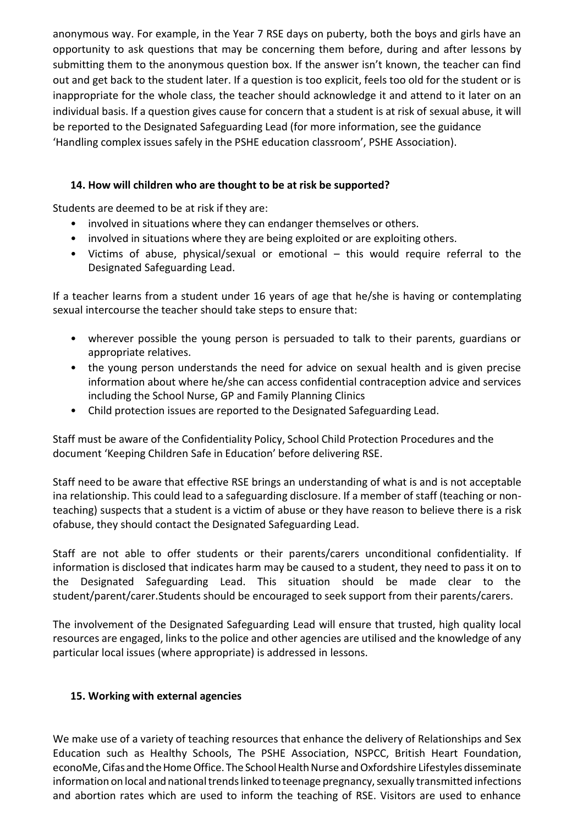anonymous way. For example, in the Year 7 RSE days on puberty, both the boys and girls have an opportunity to ask questions that may be concerning them before, during and after lessons by submitting them to the anonymous question box. If the answer isn't known, the teacher can find out and get back to the student later. If a question is too explicit, feels too old for the student or is inappropriate for the whole class, the teacher should acknowledge it and attend to it later on an individual basis. If a question gives cause for concern that a student is at risk of sexual abuse, it will be reported to the Designated Safeguarding Lead (for more information, see the guidance 'Handling complex issues safely in the PSHE education classroom', PSHE Association).

#### **14. How will children who are thought to be at risk be supported?**

Students are deemed to be at risk if they are:

- involved in situations where they can endanger themselves or others.
- involved in situations where they are being exploited or are exploiting others.
- Victims of abuse, physical/sexual or emotional this would require referral to the Designated Safeguarding Lead.

If a teacher learns from a student under 16 years of age that he/she is having or contemplating sexual intercourse the teacher should take steps to ensure that:

- wherever possible the young person is persuaded to talk to their parents, guardians or appropriate relatives.
- the young person understands the need for advice on sexual health and is given precise information about where he/she can access confidential contraception advice and services including the School Nurse, GP and Family Planning Clinics
- Child protection issues are reported to the Designated Safeguarding Lead.

Staff must be aware of the Confidentiality Policy, School Child Protection Procedures and the document 'Keeping Children Safe in Education' before delivering RSE.

Staff need to be aware that effective RSE brings an understanding of what is and is not acceptable ina relationship. This could lead to a safeguarding disclosure. If a member of staff (teaching or nonteaching) suspects that a student is a victim of abuse or they have reason to believe there is a risk ofabuse, they should contact the Designated Safeguarding Lead.

Staff are not able to offer students or their parents/carers unconditional confidentiality. If information is disclosed that indicates harm may be caused to a student, they need to pass it on to the Designated Safeguarding Lead. This situation should be made clear to the student/parent/carer.Students should be encouraged to seek support from their parents/carers.

The involvement of the Designated Safeguarding Lead will ensure that trusted, high quality local resources are engaged, links to the police and other agencies are utilised and the knowledge of any particular local issues (where appropriate) is addressed in lessons.

#### **15. Working with external agencies**

We make use of a variety of teaching resources that enhance the delivery of Relationships and Sex Education such as Healthy Schools, The PSHE Association, NSPCC, British Heart Foundation, econoMe, Cifas and the Home Office. The School Health Nurse and Oxfordshire Lifestyles disseminate information on local and national trends linked to teenage pregnancy, sexually transmitted infections and abortion rates which are used to inform the teaching of RSE. Visitors are used to enhance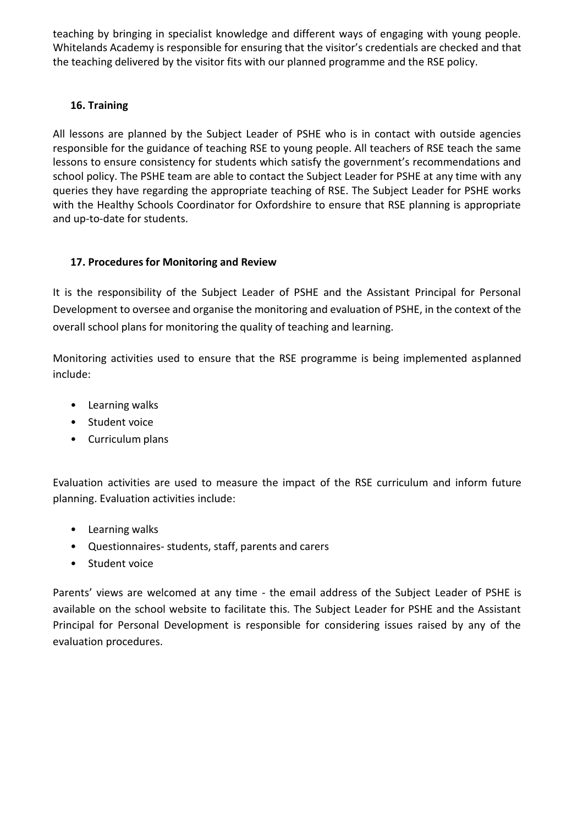teaching by bringing in specialist knowledge and different ways of engaging with young people. Whitelands Academy is responsible for ensuring that the visitor's credentials are checked and that the teaching delivered by the visitor fits with our planned programme and the RSE policy.

#### **16. Training**

All lessons are planned by the Subject Leader of PSHE who is in contact with outside agencies responsible for the guidance of teaching RSE to young people. All teachers of RSE teach the same lessons to ensure consistency for students which satisfy the government's recommendations and school policy. The PSHE team are able to contact the Subject Leader for PSHE at any time with any queries they have regarding the appropriate teaching of RSE. The Subject Leader for PSHE works with the Healthy Schools Coordinator for Oxfordshire to ensure that RSE planning is appropriate and up-to-date for students.

#### **17. Procedures for Monitoring and Review**

It is the responsibility of the Subject Leader of PSHE and the Assistant Principal for Personal Development to oversee and organise the monitoring and evaluation of PSHE, in the context of the overall school plans for monitoring the quality of teaching and learning.

Monitoring activities used to ensure that the RSE programme is being implemented asplanned include:

- Learning walks
- Student voice
- Curriculum plans

Evaluation activities are used to measure the impact of the RSE curriculum and inform future planning. Evaluation activities include:

- Learning walks
- Questionnaires- students, staff, parents and carers
- Student voice

Parents' views are welcomed at any time - the email address of the Subject Leader of PSHE is available on the school website to facilitate this. The Subject Leader for PSHE and the Assistant Principal for Personal Development is responsible for considering issues raised by any of the evaluation procedures.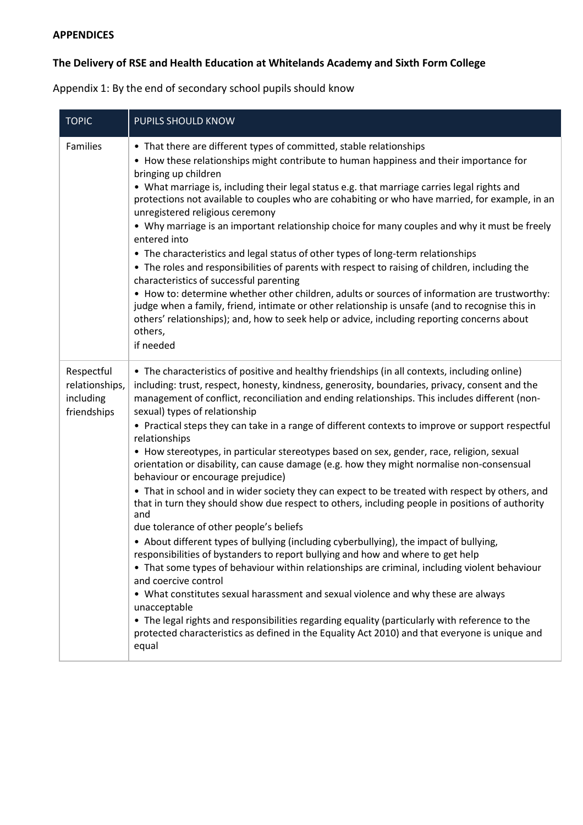## **APPENDICES**

# **The Delivery of RSE and Health Education at Whitelands Academy and Sixth Form College**

Appendix 1: By the end of secondary school pupils should know

| <b>TOPIC</b>                                             | PUPILS SHOULD KNOW                                                                                                                                                                                                                                                                                                                                                                                                                                                                                                                                                                                                                                                                                                                                                                                                                                                                                                                                                                                                                                                                                                                                                                                                                                                                                                                                                                                                                                                                                                                                                      |
|----------------------------------------------------------|-------------------------------------------------------------------------------------------------------------------------------------------------------------------------------------------------------------------------------------------------------------------------------------------------------------------------------------------------------------------------------------------------------------------------------------------------------------------------------------------------------------------------------------------------------------------------------------------------------------------------------------------------------------------------------------------------------------------------------------------------------------------------------------------------------------------------------------------------------------------------------------------------------------------------------------------------------------------------------------------------------------------------------------------------------------------------------------------------------------------------------------------------------------------------------------------------------------------------------------------------------------------------------------------------------------------------------------------------------------------------------------------------------------------------------------------------------------------------------------------------------------------------------------------------------------------------|
| Families                                                 | • That there are different types of committed, stable relationships<br>• How these relationships might contribute to human happiness and their importance for<br>bringing up children<br>• What marriage is, including their legal status e.g. that marriage carries legal rights and<br>protections not available to couples who are cohabiting or who have married, for example, in an<br>unregistered religious ceremony<br>• Why marriage is an important relationship choice for many couples and why it must be freely<br>entered into<br>• The characteristics and legal status of other types of long-term relationships<br>• The roles and responsibilities of parents with respect to raising of children, including the<br>characteristics of successful parenting<br>• How to: determine whether other children, adults or sources of information are trustworthy:<br>judge when a family, friend, intimate or other relationship is unsafe (and to recognise this in<br>others' relationships); and, how to seek help or advice, including reporting concerns about<br>others,<br>if needed                                                                                                                                                                                                                                                                                                                                                                                                                                                                |
| Respectful<br>relationships,<br>including<br>friendships | • The characteristics of positive and healthy friendships (in all contexts, including online)<br>including: trust, respect, honesty, kindness, generosity, boundaries, privacy, consent and the<br>management of conflict, reconciliation and ending relationships. This includes different (non-<br>sexual) types of relationship<br>• Practical steps they can take in a range of different contexts to improve or support respectful<br>relationships<br>• How stereotypes, in particular stereotypes based on sex, gender, race, religion, sexual<br>orientation or disability, can cause damage (e.g. how they might normalise non-consensual<br>behaviour or encourage prejudice)<br>• That in school and in wider society they can expect to be treated with respect by others, and<br>that in turn they should show due respect to others, including people in positions of authority<br>and<br>due tolerance of other people's beliefs<br>• About different types of bullying (including cyberbullying), the impact of bullying,<br>responsibilities of bystanders to report bullying and how and where to get help<br>• That some types of behaviour within relationships are criminal, including violent behaviour<br>and coercive control<br>• What constitutes sexual harassment and sexual violence and why these are always<br>unacceptable<br>• The legal rights and responsibilities regarding equality (particularly with reference to the<br>protected characteristics as defined in the Equality Act 2010) and that everyone is unique and<br>equal |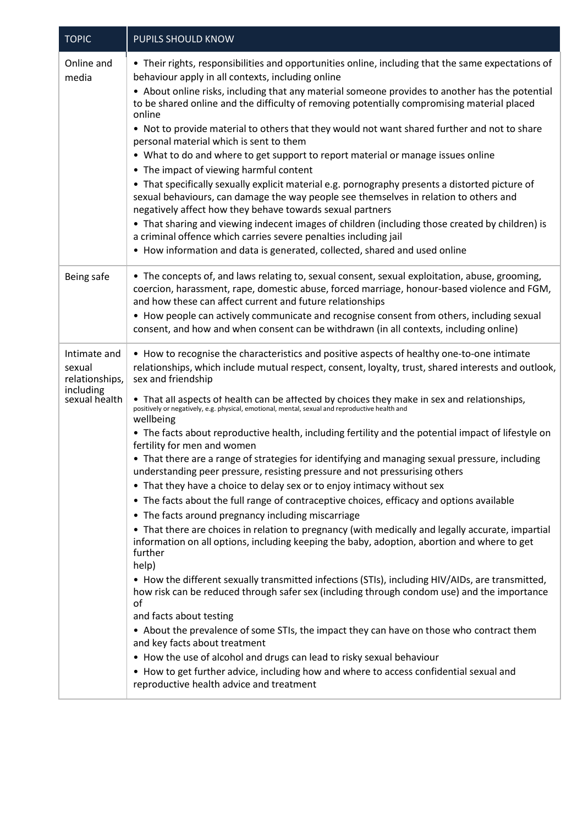| <b>TOPIC</b>                                                           | PUPILS SHOULD KNOW                                                                                                                                                                                                                                                                                                                                                                                                                                                                                                                                                                                                                                                                                                                                                                                                                                                                                                                                                                                                                                                                                                                                                                                                                                                                                                                                                                                                                                                                                                                                                                                                                                                                                                                                                                                 |
|------------------------------------------------------------------------|----------------------------------------------------------------------------------------------------------------------------------------------------------------------------------------------------------------------------------------------------------------------------------------------------------------------------------------------------------------------------------------------------------------------------------------------------------------------------------------------------------------------------------------------------------------------------------------------------------------------------------------------------------------------------------------------------------------------------------------------------------------------------------------------------------------------------------------------------------------------------------------------------------------------------------------------------------------------------------------------------------------------------------------------------------------------------------------------------------------------------------------------------------------------------------------------------------------------------------------------------------------------------------------------------------------------------------------------------------------------------------------------------------------------------------------------------------------------------------------------------------------------------------------------------------------------------------------------------------------------------------------------------------------------------------------------------------------------------------------------------------------------------------------------------|
| Online and<br>media                                                    | • Their rights, responsibilities and opportunities online, including that the same expectations of<br>behaviour apply in all contexts, including online<br>• About online risks, including that any material someone provides to another has the potential<br>to be shared online and the difficulty of removing potentially compromising material placed<br>online<br>. Not to provide material to others that they would not want shared further and not to share<br>personal material which is sent to them<br>• What to do and where to get support to report material or manage issues online<br>• The impact of viewing harmful content<br>• That specifically sexually explicit material e.g. pornography presents a distorted picture of<br>sexual behaviours, can damage the way people see themselves in relation to others and<br>negatively affect how they behave towards sexual partners<br>• That sharing and viewing indecent images of children (including those created by children) is<br>a criminal offence which carries severe penalties including jail<br>• How information and data is generated, collected, shared and used online                                                                                                                                                                                                                                                                                                                                                                                                                                                                                                                                                                                                                                        |
| Being safe                                                             | • The concepts of, and laws relating to, sexual consent, sexual exploitation, abuse, grooming,<br>coercion, harassment, rape, domestic abuse, forced marriage, honour-based violence and FGM,<br>and how these can affect current and future relationships<br>• How people can actively communicate and recognise consent from others, including sexual<br>consent, and how and when consent can be withdrawn (in all contexts, including online)                                                                                                                                                                                                                                                                                                                                                                                                                                                                                                                                                                                                                                                                                                                                                                                                                                                                                                                                                                                                                                                                                                                                                                                                                                                                                                                                                  |
| Intimate and<br>sexual<br>relationships,<br>including<br>sexual health | • How to recognise the characteristics and positive aspects of healthy one-to-one intimate<br>relationships, which include mutual respect, consent, loyalty, trust, shared interests and outlook,<br>sex and friendship<br>• That all aspects of health can be affected by choices they make in sex and relationships,<br>positively or negatively, e.g. physical, emotional, mental, sexual and reproductive health and<br>wellbeing<br>• The facts about reproductive health, including fertility and the potential impact of lifestyle on<br>fertility for men and women<br>• That there are a range of strategies for identifying and managing sexual pressure, including<br>understanding peer pressure, resisting pressure and not pressurising others<br>• That they have a choice to delay sex or to enjoy intimacy without sex<br>• The facts about the full range of contraceptive choices, efficacy and options available<br>• The facts around pregnancy including miscarriage<br>• That there are choices in relation to pregnancy (with medically and legally accurate, impartial<br>information on all options, including keeping the baby, adoption, abortion and where to get<br>further<br>help)<br>• How the different sexually transmitted infections (STIs), including HIV/AIDs, are transmitted,<br>how risk can be reduced through safer sex (including through condom use) and the importance<br>of<br>and facts about testing<br>• About the prevalence of some STIs, the impact they can have on those who contract them<br>and key facts about treatment<br>• How the use of alcohol and drugs can lead to risky sexual behaviour<br>• How to get further advice, including how and where to access confidential sexual and<br>reproductive health advice and treatment |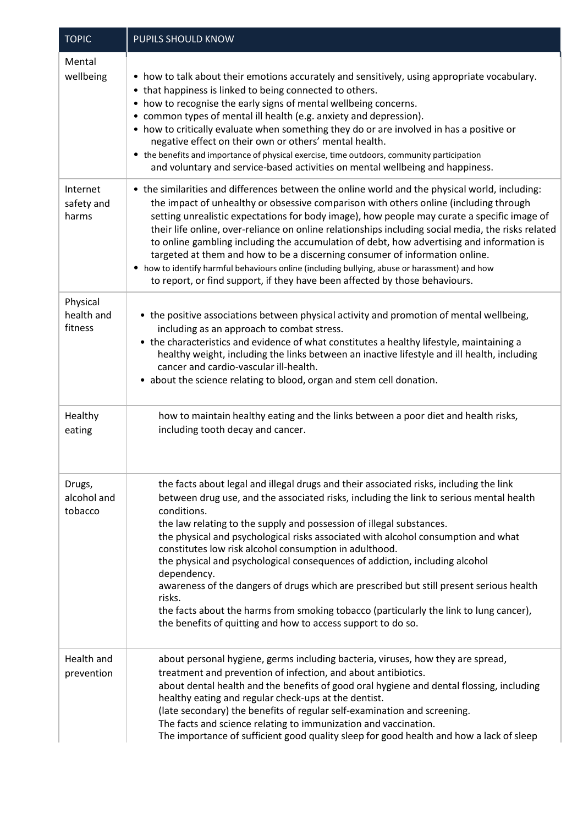| <b>TOPIC</b>                      | PUPILS SHOULD KNOW                                                                                                                                                                                                                                                                                                                                                                                                                                                                                                                                                                                                                                                                                                                                                                   |  |  |  |
|-----------------------------------|--------------------------------------------------------------------------------------------------------------------------------------------------------------------------------------------------------------------------------------------------------------------------------------------------------------------------------------------------------------------------------------------------------------------------------------------------------------------------------------------------------------------------------------------------------------------------------------------------------------------------------------------------------------------------------------------------------------------------------------------------------------------------------------|--|--|--|
| Mental<br>wellbeing               | • how to talk about their emotions accurately and sensitively, using appropriate vocabulary.<br>• that happiness is linked to being connected to others.<br>• how to recognise the early signs of mental wellbeing concerns.<br>• common types of mental ill health (e.g. anxiety and depression).<br>• how to critically evaluate when something they do or are involved in has a positive or<br>negative effect on their own or others' mental health.<br>• the benefits and importance of physical exercise, time outdoors, community participation<br>and voluntary and service-based activities on mental wellbeing and happiness.                                                                                                                                              |  |  |  |
| Internet<br>safety and<br>harms   | • the similarities and differences between the online world and the physical world, including:<br>the impact of unhealthy or obsessive comparison with others online (including through<br>setting unrealistic expectations for body image), how people may curate a specific image of<br>their life online, over-reliance on online relationships including social media, the risks related<br>to online gambling including the accumulation of debt, how advertising and information is<br>targeted at them and how to be a discerning consumer of information online.<br>• how to identify harmful behaviours online (including bullying, abuse or harassment) and how<br>to report, or find support, if they have been affected by those behaviours.                             |  |  |  |
| Physical<br>health and<br>fitness | • the positive associations between physical activity and promotion of mental wellbeing,<br>including as an approach to combat stress.<br>• the characteristics and evidence of what constitutes a healthy lifestyle, maintaining a<br>healthy weight, including the links between an inactive lifestyle and ill health, including<br>cancer and cardio-vascular ill-health.<br>• about the science relating to blood, organ and stem cell donation.                                                                                                                                                                                                                                                                                                                                 |  |  |  |
| Healthy<br>eating                 | how to maintain healthy eating and the links between a poor diet and health risks,<br>including tooth decay and cancer.                                                                                                                                                                                                                                                                                                                                                                                                                                                                                                                                                                                                                                                              |  |  |  |
| Drugs,<br>alcohol and<br>tobacco  | the facts about legal and illegal drugs and their associated risks, including the link<br>between drug use, and the associated risks, including the link to serious mental health<br>conditions.<br>the law relating to the supply and possession of illegal substances.<br>the physical and psychological risks associated with alcohol consumption and what<br>constitutes low risk alcohol consumption in adulthood.<br>the physical and psychological consequences of addiction, including alcohol<br>dependency.<br>awareness of the dangers of drugs which are prescribed but still present serious health<br>risks.<br>the facts about the harms from smoking tobacco (particularly the link to lung cancer),<br>the benefits of quitting and how to access support to do so. |  |  |  |
| Health and<br>prevention          | about personal hygiene, germs including bacteria, viruses, how they are spread,<br>treatment and prevention of infection, and about antibiotics.<br>about dental health and the benefits of good oral hygiene and dental flossing, including<br>healthy eating and regular check-ups at the dentist.<br>(late secondary) the benefits of regular self-examination and screening.<br>The facts and science relating to immunization and vaccination.<br>The importance of sufficient good quality sleep for good health and how a lack of sleep                                                                                                                                                                                                                                       |  |  |  |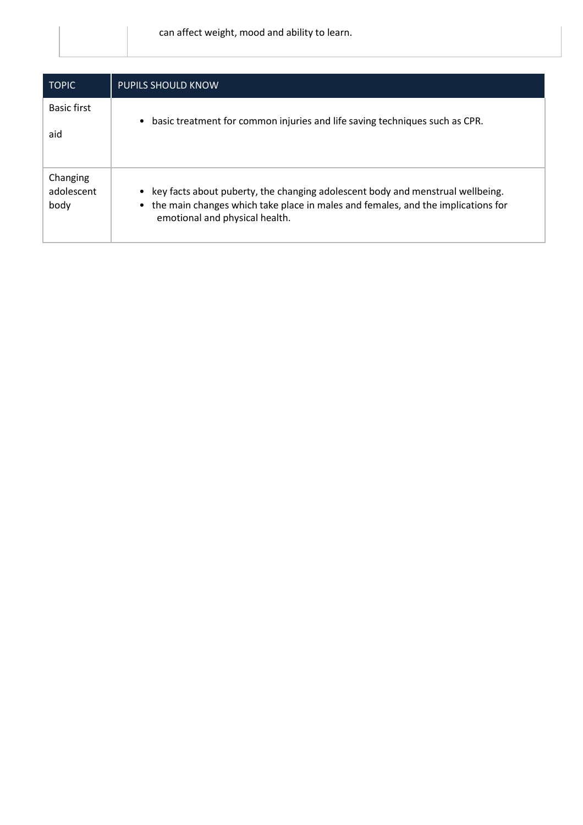| <b>TOPIC</b>                   | <b>PUPILS SHOULD KNOW</b>                                                                                                                                                                                           |
|--------------------------------|---------------------------------------------------------------------------------------------------------------------------------------------------------------------------------------------------------------------|
| <b>Basic first</b><br>aid      | basic treatment for common injuries and life saving techniques such as CPR.<br>$\bullet$                                                                                                                            |
| Changing<br>adolescent<br>body | key facts about puberty, the changing adolescent body and menstrual wellbeing.<br>$\bullet$<br>• the main changes which take place in males and females, and the implications for<br>emotional and physical health. |